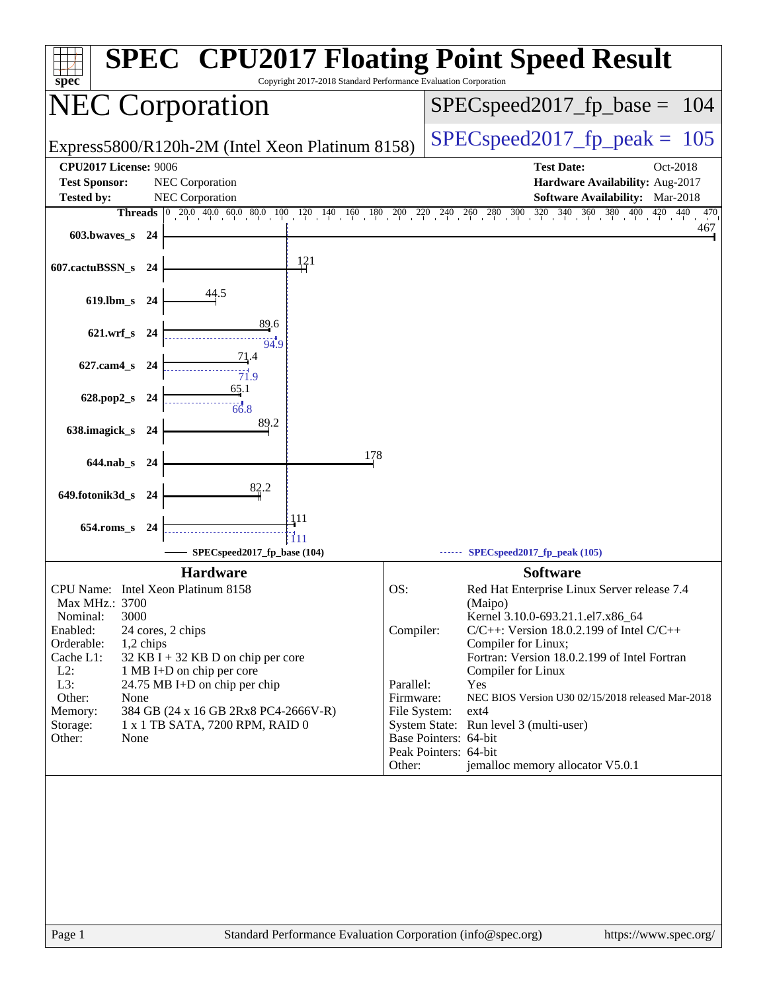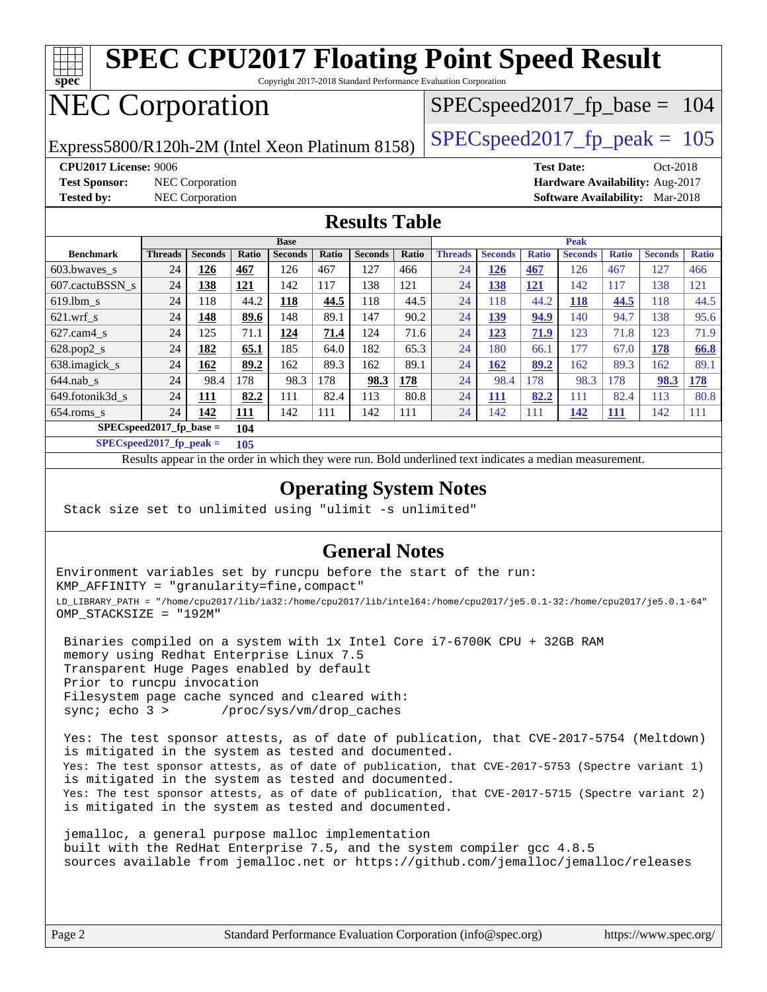

### Results appear in the [order in which they were run.](http://www.spec.org/auto/cpu2017/Docs/result-fields.html#RunOrder) Bold underlined text [indicates a median measurement](http://www.spec.org/auto/cpu2017/Docs/result-fields.html#Median). **[Operating System Notes](http://www.spec.org/auto/cpu2017/Docs/result-fields.html#OperatingSystemNotes)**

[638.imagick\\_s](http://www.spec.org/auto/cpu2017/Docs/benchmarks/638.imagick_s.html) 24 **[162](http://www.spec.org/auto/cpu2017/Docs/result-fields.html#Median) [89.2](http://www.spec.org/auto/cpu2017/Docs/result-fields.html#Median)** 162 89.3 162 89.1 24 **[162](http://www.spec.org/auto/cpu2017/Docs/result-fields.html#Median) [89.2](http://www.spec.org/auto/cpu2017/Docs/result-fields.html#Median)** 162 89.3 162 89.1 [644.nab\\_s](http://www.spec.org/auto/cpu2017/Docs/benchmarks/644.nab_s.html) 24 98.4 178 98.3 178 **[98.3](http://www.spec.org/auto/cpu2017/Docs/result-fields.html#Median) [178](http://www.spec.org/auto/cpu2017/Docs/result-fields.html#Median)** 24 98.4 178 98.3 178 **[98.3](http://www.spec.org/auto/cpu2017/Docs/result-fields.html#Median) [178](http://www.spec.org/auto/cpu2017/Docs/result-fields.html#Median)** [649.fotonik3d\\_s](http://www.spec.org/auto/cpu2017/Docs/benchmarks/649.fotonik3d_s.html) 24 **[111](http://www.spec.org/auto/cpu2017/Docs/result-fields.html#Median) [82.2](http://www.spec.org/auto/cpu2017/Docs/result-fields.html#Median)** 111 82.4 113 80.8 24 **[111](http://www.spec.org/auto/cpu2017/Docs/result-fields.html#Median) [82.2](http://www.spec.org/auto/cpu2017/Docs/result-fields.html#Median)** 111 82.4 113 80.8 [654.roms\\_s](http://www.spec.org/auto/cpu2017/Docs/benchmarks/654.roms_s.html) 24 **[142](http://www.spec.org/auto/cpu2017/Docs/result-fields.html#Median) [111](http://www.spec.org/auto/cpu2017/Docs/result-fields.html#Median)** 142 111 142 111 24 142 111 **[142](http://www.spec.org/auto/cpu2017/Docs/result-fields.html#Median) [111](http://www.spec.org/auto/cpu2017/Docs/result-fields.html#Median)** 142 111

Stack size set to unlimited using "ulimit -s unlimited"

**[SPECspeed2017\\_fp\\_base =](http://www.spec.org/auto/cpu2017/Docs/result-fields.html#SPECspeed2017fpbase) 104 [SPECspeed2017\\_fp\\_peak =](http://www.spec.org/auto/cpu2017/Docs/result-fields.html#SPECspeed2017fppeak) 105**

### **[General Notes](http://www.spec.org/auto/cpu2017/Docs/result-fields.html#GeneralNotes)**

Environment variables set by runcpu before the start of the run: KMP\_AFFINITY = "granularity=fine,compact" LD\_LIBRARY\_PATH = "/home/cpu2017/lib/ia32:/home/cpu2017/lib/intel64:/home/cpu2017/je5.0.1-32:/home/cpu2017/je5.0.1-64" OMP\_STACKSIZE = "192M"

 Binaries compiled on a system with 1x Intel Core i7-6700K CPU + 32GB RAM memory using Redhat Enterprise Linux 7.5 Transparent Huge Pages enabled by default Prior to runcpu invocation Filesystem page cache synced and cleared with: sync; echo 3 > /proc/sys/vm/drop\_caches

 Yes: The test sponsor attests, as of date of publication, that CVE-2017-5754 (Meltdown) is mitigated in the system as tested and documented. Yes: The test sponsor attests, as of date of publication, that CVE-2017-5753 (Spectre variant 1) is mitigated in the system as tested and documented. Yes: The test sponsor attests, as of date of publication, that CVE-2017-5715 (Spectre variant 2) is mitigated in the system as tested and documented.

 jemalloc, a general purpose malloc implementation built with the RedHat Enterprise 7.5, and the system compiler gcc 4.8.5 sources available from jemalloc.net or <https://github.com/jemalloc/jemalloc/releases>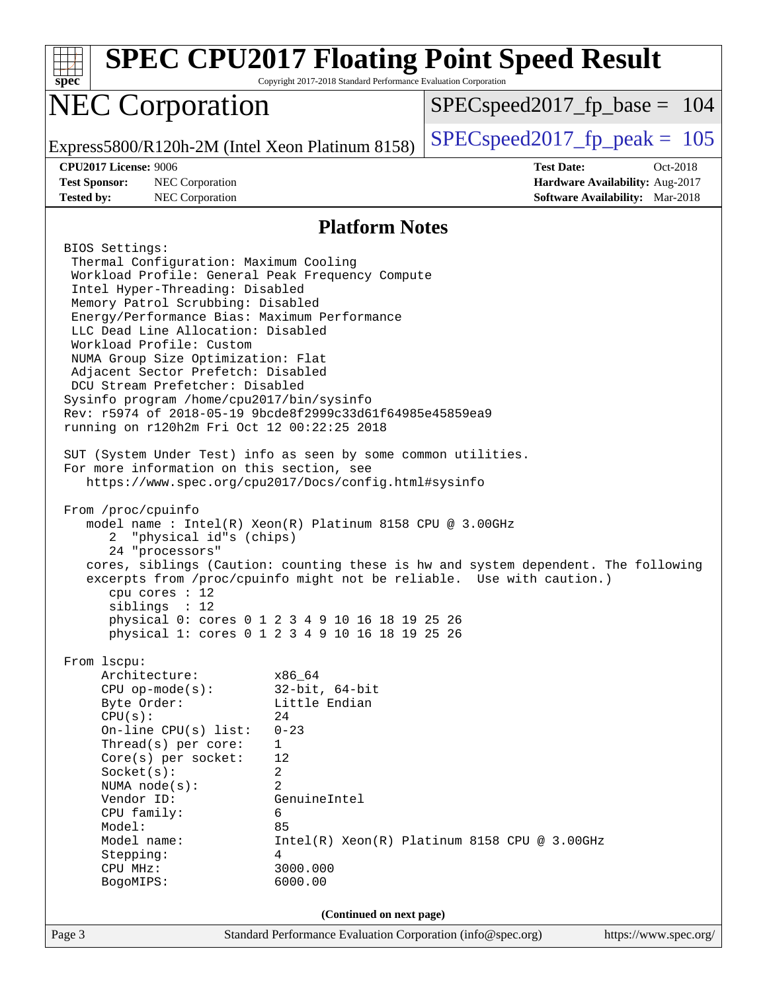| spec                                                                                                                                                                                                                                                                                                                                                                                                                                                                                                                                                                                                                                                                                                                                                                                                                                                                                                                                                                                                                                       | Copyright 2017-2018 Standard Performance Evaluation Corporation                                                                               | <b>SPEC CPU2017 Floating Point Speed Result</b>                                                                                                             |
|--------------------------------------------------------------------------------------------------------------------------------------------------------------------------------------------------------------------------------------------------------------------------------------------------------------------------------------------------------------------------------------------------------------------------------------------------------------------------------------------------------------------------------------------------------------------------------------------------------------------------------------------------------------------------------------------------------------------------------------------------------------------------------------------------------------------------------------------------------------------------------------------------------------------------------------------------------------------------------------------------------------------------------------------|-----------------------------------------------------------------------------------------------------------------------------------------------|-------------------------------------------------------------------------------------------------------------------------------------------------------------|
| <b>NEC Corporation</b>                                                                                                                                                                                                                                                                                                                                                                                                                                                                                                                                                                                                                                                                                                                                                                                                                                                                                                                                                                                                                     |                                                                                                                                               | $SPEC speed2017_fp\_base = 104$                                                                                                                             |
| Express5800/R120h-2M (Intel Xeon Platinum 8158)                                                                                                                                                                                                                                                                                                                                                                                                                                                                                                                                                                                                                                                                                                                                                                                                                                                                                                                                                                                            |                                                                                                                                               | $SPEC speed2017_fp\_peak = 105$                                                                                                                             |
| <b>CPU2017 License: 9006</b><br><b>Test Sponsor:</b><br>NEC Corporation<br><b>Tested by:</b><br>NEC Corporation                                                                                                                                                                                                                                                                                                                                                                                                                                                                                                                                                                                                                                                                                                                                                                                                                                                                                                                            |                                                                                                                                               | <b>Test Date:</b><br>$Oct-2018$<br>Hardware Availability: Aug-2017<br><b>Software Availability:</b> Mar-2018                                                |
|                                                                                                                                                                                                                                                                                                                                                                                                                                                                                                                                                                                                                                                                                                                                                                                                                                                                                                                                                                                                                                            | <b>Platform Notes</b>                                                                                                                         |                                                                                                                                                             |
| BIOS Settings:<br>Thermal Configuration: Maximum Cooling<br>Workload Profile: General Peak Frequency Compute<br>Intel Hyper-Threading: Disabled<br>Memory Patrol Scrubbing: Disabled<br>Energy/Performance Bias: Maximum Performance<br>LLC Dead Line Allocation: Disabled<br>Workload Profile: Custom<br>NUMA Group Size Optimization: Flat<br>Adjacent Sector Prefetch: Disabled<br>DCU Stream Prefetcher: Disabled<br>Sysinfo program /home/cpu2017/bin/sysinfo<br>Rev: r5974 of 2018-05-19 9bcde8f2999c33d61f64985e45859ea9<br>running on r120h2m Fri Oct 12 00:22:25 2018<br>SUT (System Under Test) info as seen by some common utilities.<br>For more information on this section, see<br>https://www.spec.org/cpu2017/Docs/config.html#sysinfo<br>From /proc/cpuinfo<br>model name: $Intel(R)$ Xeon $(R)$ Platinum 8158 CPU @ 3.00GHz<br>"physical id"s (chips)<br>2<br>24 "processors"<br>$cpu$ cores : 12<br>siblings : 12<br>physical 0: cores 0 1 2 3 4 9 10 16 18 19 25 26<br>physical 1: cores 0 1 2 3 4 9 10 16 18 19 25 26 |                                                                                                                                               | cores, siblings (Caution: counting these is hw and system dependent. The following<br>excerpts from /proc/cpuinfo might not be reliable. Use with caution.) |
| From 1scpu:<br>Architecture:<br>$CPU$ op-mode( $s$ ):<br>Byte Order:<br>CPU(s):<br>On-line $CPU(s)$ list:<br>Thread(s) per core:<br>Core(s) per socket:<br>Socket(s):<br>NUMA $node(s):$<br>Vendor ID:<br>CPU family:<br>Model:<br>Model name:<br>Stepping:<br>CPU MHz:<br>BogoMIPS:                                                                                                                                                                                                                                                                                                                                                                                                                                                                                                                                                                                                                                                                                                                                                       | x86_64<br>$32$ -bit, $64$ -bit<br>Little Endian<br>24<br>$0 - 23$<br>1<br>12<br>2<br>2<br>GenuineIntel<br>6<br>85<br>4<br>3000.000<br>6000.00 | $Intel(R) Xeon(R) Platinum 8158 CPU @ 3.00GHz$                                                                                                              |
| Page 3                                                                                                                                                                                                                                                                                                                                                                                                                                                                                                                                                                                                                                                                                                                                                                                                                                                                                                                                                                                                                                     | (Continued on next page)<br>Standard Performance Evaluation Corporation (info@spec.org)                                                       | https://www.spec.org/                                                                                                                                       |
|                                                                                                                                                                                                                                                                                                                                                                                                                                                                                                                                                                                                                                                                                                                                                                                                                                                                                                                                                                                                                                            |                                                                                                                                               |                                                                                                                                                             |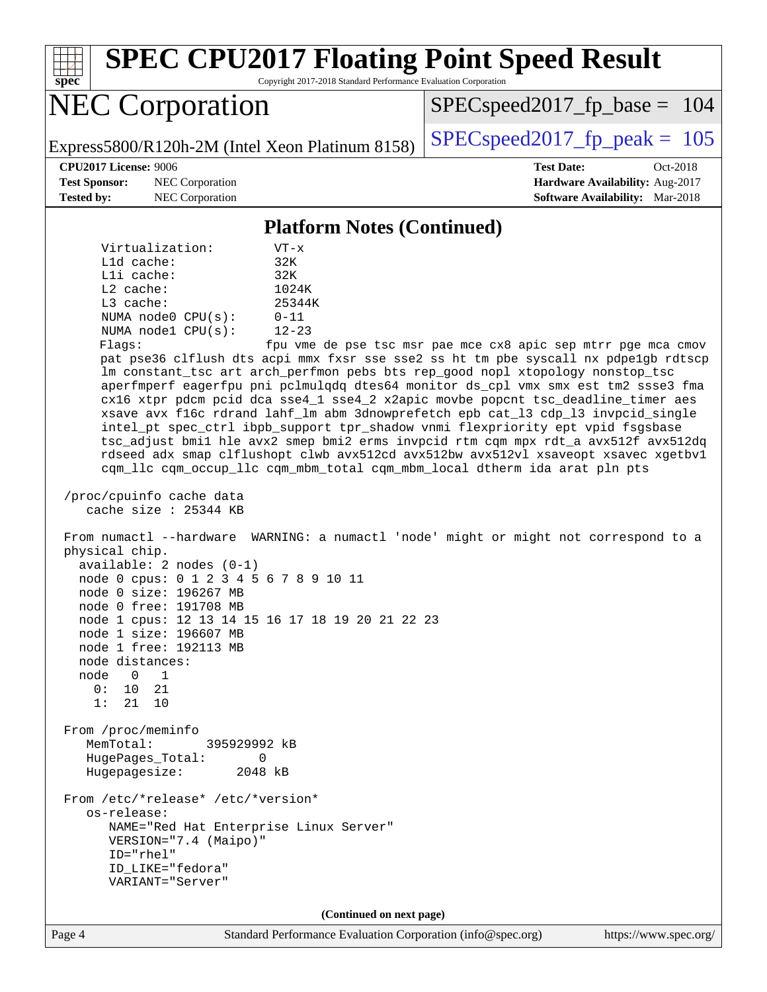Page 4 Standard Performance Evaluation Corporation [\(info@spec.org\)](mailto:info@spec.org) <https://www.spec.org/> **[spec](http://www.spec.org/) [SPEC CPU2017 Floating Point Speed Result](http://www.spec.org/auto/cpu2017/Docs/result-fields.html#SPECCPU2017FloatingPointSpeedResult)** Copyright 2017-2018 Standard Performance Evaluation Corporation NEC Corporation Express5800/R120h-2M (Intel Xeon Platinum 8158) [SPECspeed2017\\_fp\\_peak =](http://www.spec.org/auto/cpu2017/Docs/result-fields.html#SPECspeed2017fppeak)  $105$ SPECspeed2017 fp base =  $104$ **[CPU2017 License:](http://www.spec.org/auto/cpu2017/Docs/result-fields.html#CPU2017License)** 9006 **[Test Date:](http://www.spec.org/auto/cpu2017/Docs/result-fields.html#TestDate)** Oct-2018 **[Test Sponsor:](http://www.spec.org/auto/cpu2017/Docs/result-fields.html#TestSponsor)** NEC Corporation **[Hardware Availability:](http://www.spec.org/auto/cpu2017/Docs/result-fields.html#HardwareAvailability)** Aug-2017 **[Tested by:](http://www.spec.org/auto/cpu2017/Docs/result-fields.html#Testedby)** NEC Corporation **[Software Availability:](http://www.spec.org/auto/cpu2017/Docs/result-fields.html#SoftwareAvailability)** Mar-2018 **[Platform Notes \(Continued\)](http://www.spec.org/auto/cpu2017/Docs/result-fields.html#PlatformNotes)** Virtualization: VT-x L1d cache: 32K L1i cache: 32K L2 cache: 1024K L3 cache: 25344K NUMA node0 CPU(s): 0-11 NUMA node1 CPU(s): 12-23 Flags: fpu vme de pse tsc msr pae mce cx8 apic sep mtrr pge mca cmov pat pse36 clflush dts acpi mmx fxsr sse sse2 ss ht tm pbe syscall nx pdpe1gb rdtscp lm constant\_tsc art arch\_perfmon pebs bts rep\_good nopl xtopology nonstop\_tsc aperfmperf eagerfpu pni pclmulqdq dtes64 monitor ds\_cpl vmx smx est tm2 ssse3 fma cx16 xtpr pdcm pcid dca sse4\_1 sse4\_2 x2apic movbe popcnt tsc\_deadline\_timer aes xsave avx f16c rdrand lahf\_lm abm 3dnowprefetch epb cat\_l3 cdp\_l3 invpcid\_single intel\_pt spec\_ctrl ibpb\_support tpr\_shadow vnmi flexpriority ept vpid fsgsbase tsc\_adjust bmi1 hle avx2 smep bmi2 erms invpcid rtm cqm mpx rdt\_a avx512f avx512dq rdseed adx smap clflushopt clwb avx512cd avx512bw avx512vl xsaveopt xsavec xgetbv1 cqm\_llc cqm\_occup\_llc cqm\_mbm\_total cqm\_mbm\_local dtherm ida arat pln pts /proc/cpuinfo cache data cache size : 25344 KB From numactl --hardware WARNING: a numactl 'node' might or might not correspond to a physical chip. available: 2 nodes (0-1) node 0 cpus: 0 1 2 3 4 5 6 7 8 9 10 11 node 0 size: 196267 MB node 0 free: 191708 MB node 1 cpus: 12 13 14 15 16 17 18 19 20 21 22 23 node 1 size: 196607 MB node 1 free: 192113 MB node distances: node 0 1 0: 10 21 1: 21 10 From /proc/meminfo MemTotal: 395929992 kB HugePages\_Total: 0 Hugepagesize: 2048 kB From /etc/\*release\* /etc/\*version\* os-release: NAME="Red Hat Enterprise Linux Server" VERSION="7.4 (Maipo)" ID="rhel" ID\_LIKE="fedora" VARIANT="Server" **(Continued on next page)**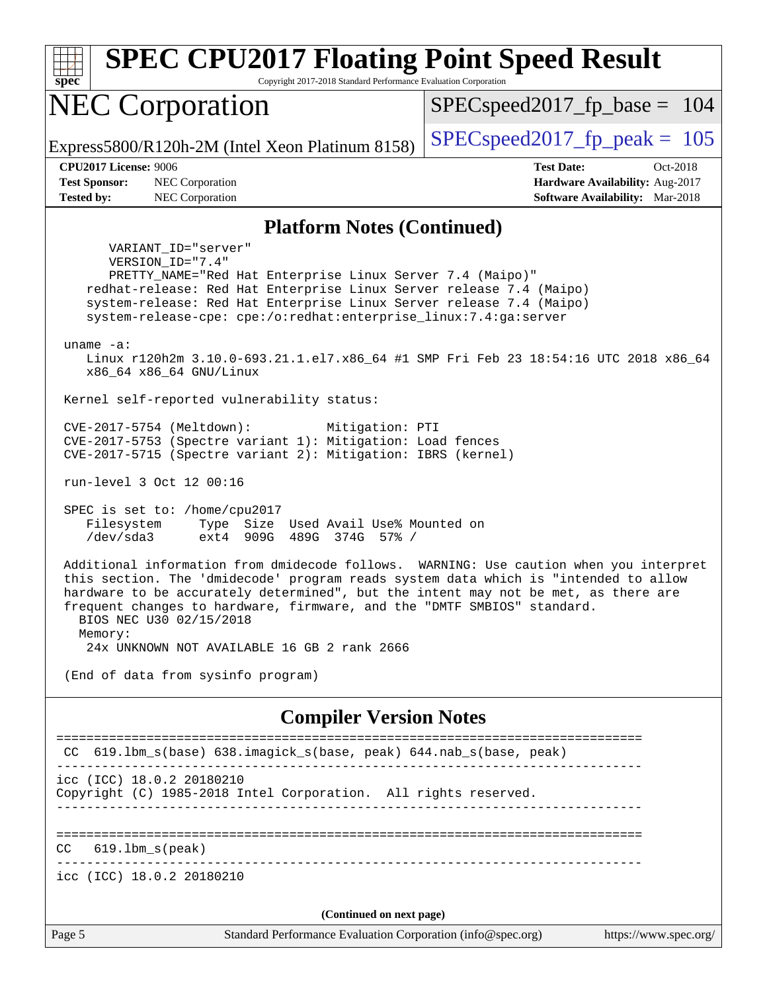| $spec^*$                                                                  | <b>SPEC CPU2017 Floating Point Speed Result</b><br>Copyright 2017-2018 Standard Performance Evaluation Corporation                                                                                                                                                                                                                                |                                                                                                     |
|---------------------------------------------------------------------------|---------------------------------------------------------------------------------------------------------------------------------------------------------------------------------------------------------------------------------------------------------------------------------------------------------------------------------------------------|-----------------------------------------------------------------------------------------------------|
|                                                                           | <b>NEC Corporation</b>                                                                                                                                                                                                                                                                                                                            | $SPEC speed2017_f p\_base = 104$                                                                    |
|                                                                           | Express5800/R120h-2M (Intel Xeon Platinum 8158)                                                                                                                                                                                                                                                                                                   | $SPEC speed2017_fp\_peak = 105$                                                                     |
| <b>CPU2017 License: 9006</b><br><b>Test Sponsor:</b><br><b>Tested by:</b> | NEC Corporation<br>NEC Corporation                                                                                                                                                                                                                                                                                                                | <b>Test Date:</b><br>Oct-2018<br>Hardware Availability: Aug-2017<br>Software Availability: Mar-2018 |
|                                                                           | <b>Platform Notes (Continued)</b>                                                                                                                                                                                                                                                                                                                 |                                                                                                     |
| uname $-a$ :                                                              | VARIANT_ID="server"<br>VERSION_ID="7.4"<br>PRETTY_NAME="Red Hat Enterprise Linux Server 7.4 (Maipo)"<br>redhat-release: Red Hat Enterprise Linux Server release 7.4 (Maipo)<br>system-release: Red Hat Enterprise Linux Server release 7.4 (Maipo)<br>system-release-cpe: cpe:/o:redhat:enterprise_linux:7.4:ga:server<br>x86_64 x86_64 GNU/Linux | Linux r120h2m 3.10.0-693.21.1.el7.x86_64 #1 SMP Fri Feb 23 18:54:16 UTC 2018 x86_64                 |
|                                                                           | Kernel self-reported vulnerability status:                                                                                                                                                                                                                                                                                                        |                                                                                                     |
|                                                                           | CVE-2017-5754 (Meltdown):<br>Mitigation: PTI<br>CVE-2017-5753 (Spectre variant 1): Mitigation: Load fences<br>CVE-2017-5715 (Spectre variant 2): Mitigation: IBRS (kernel)<br>run-level 3 Oct 12 00:16                                                                                                                                            |                                                                                                     |
| Filesystem<br>/dev/sda3                                                   | SPEC is set to: /home/cpu2017<br>Type Size Used Avail Use% Mounted on<br>ext4 909G 489G 374G 57% /                                                                                                                                                                                                                                                |                                                                                                     |
| Memory:                                                                   | this section. The 'dmidecode' program reads system data which is "intended to allow<br>hardware to be accurately determined", but the intent may not be met, as there are<br>frequent changes to hardware, firmware, and the "DMTF SMBIOS" standard.<br>BIOS NEC U30 02/15/2018<br>24x UNKNOWN NOT AVAILABLE 16 GB 2 rank 2666                    | Additional information from dmidecode follows. WARNING: Use caution when you interpret              |
|                                                                           | (End of data from sysinfo program)                                                                                                                                                                                                                                                                                                                |                                                                                                     |
|                                                                           | <b>Compiler Version Notes</b>                                                                                                                                                                                                                                                                                                                     |                                                                                                     |
|                                                                           | CC 619.1bm_s(base) 638.imagick_s(base, peak) 644.nab_s(base, peak)                                                                                                                                                                                                                                                                                |                                                                                                     |
|                                                                           | ---------------------------------<br>icc (ICC) 18.0.2 20180210<br>Copyright (C) 1985-2018 Intel Corporation. All rights reserved.                                                                                                                                                                                                                 |                                                                                                     |
| CC                                                                        | $619.1$ bm_s(peak)                                                                                                                                                                                                                                                                                                                                |                                                                                                     |
|                                                                           | icc (ICC) 18.0.2 20180210                                                                                                                                                                                                                                                                                                                         |                                                                                                     |
|                                                                           | (Continued on next page)                                                                                                                                                                                                                                                                                                                          |                                                                                                     |
| Page 5                                                                    | Standard Performance Evaluation Corporation (info@spec.org)                                                                                                                                                                                                                                                                                       | https://www.spec.org/                                                                               |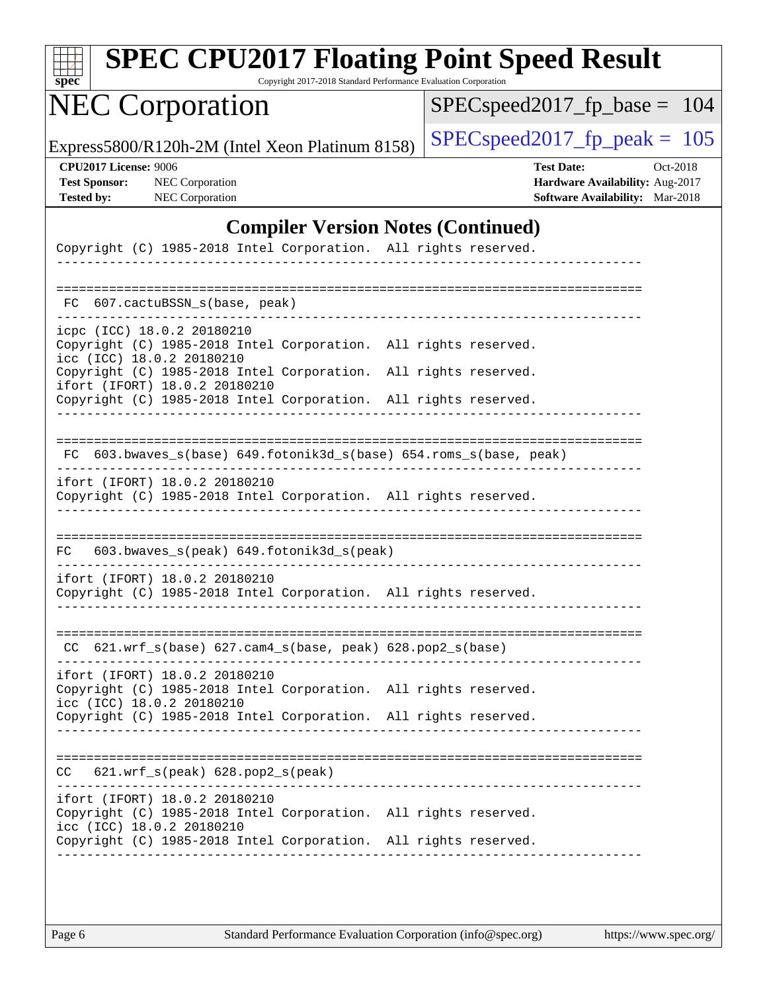| s<br>Dе<br>U |  |  |  |  |
|--------------|--|--|--|--|

Copyright 2017-2018 Standard Performance Evaluation Corporation

## NEC Corporation

[SPECspeed2017\\_fp\\_base =](http://www.spec.org/auto/cpu2017/Docs/result-fields.html#SPECspeed2017fpbase) 104

Express5800/R120h-2M (Intel Xeon Platinum 8158) [SPECspeed2017\\_fp\\_peak =](http://www.spec.org/auto/cpu2017/Docs/result-fields.html#SPECspeed2017fppeak)  $105$ 

**[CPU2017 License:](http://www.spec.org/auto/cpu2017/Docs/result-fields.html#CPU2017License)** 9006 **[Test Date:](http://www.spec.org/auto/cpu2017/Docs/result-fields.html#TestDate)** Oct-2018 **[Test Sponsor:](http://www.spec.org/auto/cpu2017/Docs/result-fields.html#TestSponsor)** NEC Corporation **[Hardware Availability:](http://www.spec.org/auto/cpu2017/Docs/result-fields.html#HardwareAvailability)** Aug-2017 **[Tested by:](http://www.spec.org/auto/cpu2017/Docs/result-fields.html#Testedby)** NEC Corporation **[Software Availability:](http://www.spec.org/auto/cpu2017/Docs/result-fields.html#SoftwareAvailability)** Mar-2018

### **[Compiler Version Notes \(Continued\)](http://www.spec.org/auto/cpu2017/Docs/result-fields.html#CompilerVersionNotes)**

| Copyright (C) 1985-2018 Intel Corporation. All rights reserved.                                                                                |                      |
|------------------------------------------------------------------------------------------------------------------------------------------------|----------------------|
| FC 607.cactuBSSN s(base, peak)                                                                                                                 |                      |
| icpc (ICC) 18.0.2 20180210<br>Copyright (C) 1985-2018 Intel Corporation.<br>icc (ICC) 18.0.2 20180210                                          | All rights reserved. |
| Copyright (C) 1985-2018 Intel Corporation.<br>ifort (IFORT) 18.0.2 20180210<br>Copyright (C) 1985-2018 Intel Corporation. All rights reserved. | All rights reserved. |
| FC 603.bwaves_s(base) 649.fotonik3d_s(base) 654.roms_s(base, peak)                                                                             |                      |
|                                                                                                                                                |                      |
| ifort (IFORT) 18.0.2 20180210<br>Copyright (C) 1985-2018 Intel Corporation. All rights reserved.                                               |                      |
|                                                                                                                                                |                      |
| 603.bwaves_s(peak) 649.fotonik3d_s(peak)<br>FC                                                                                                 |                      |
| ifort (IFORT) 18.0.2 20180210<br>Copyright (C) 1985-2018 Intel Corporation. All rights reserved.                                               |                      |
| $CC$ 621.wrf_s(base) 627.cam4_s(base, peak) 628.pop2_s(base)                                                                                   |                      |
| ifort (IFORT) 18.0.2 20180210<br>Copyright (C) 1985-2018 Intel Corporation.<br>icc (ICC) 18.0.2 20180210                                       | All rights reserved. |
| Copyright (C) 1985-2018 Intel Corporation. All rights reserved.                                                                                |                      |
| $621.wrf$ s(peak) $628.pop2$ s(peak)<br>CC.                                                                                                    |                      |
|                                                                                                                                                |                      |
| ifort (IFORT) 18.0.2 20180210<br>Copyright (C) 1985-2018 Intel Corporation.<br>icc (ICC) 18.0.2 20180210                                       | All rights reserved. |
| Copyright (C) 1985-2018 Intel Corporation.                                                                                                     | All rights reserved. |
|                                                                                                                                                |                      |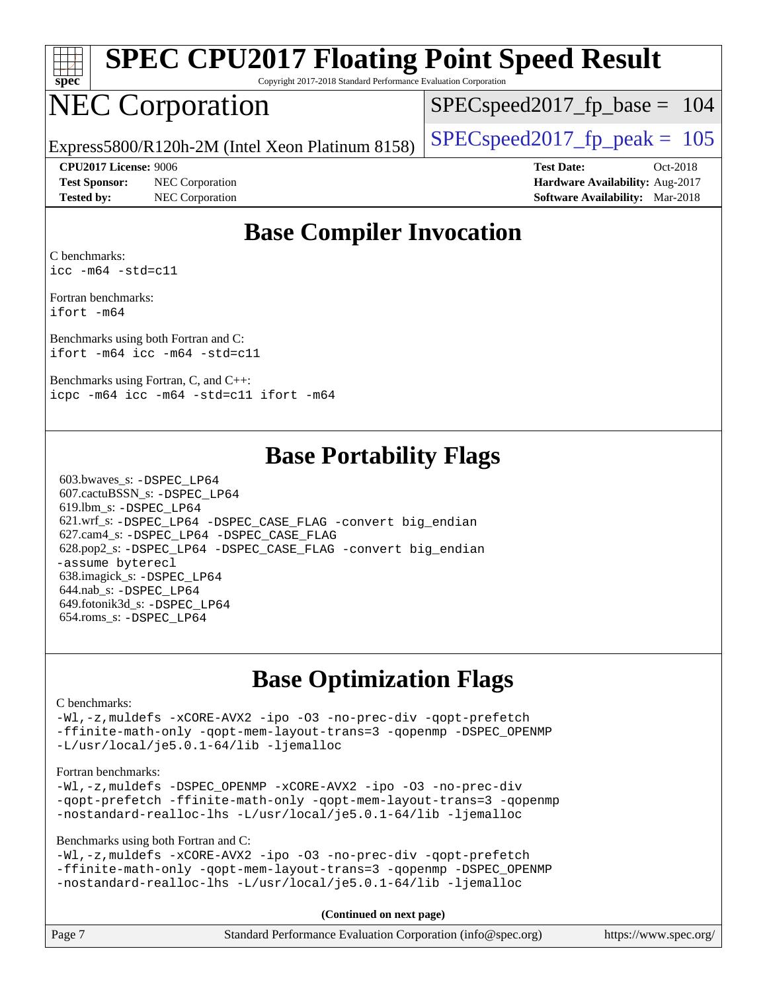

Copyright 2017-2018 Standard Performance Evaluation Corporation

## NEC Corporation

SPECspeed2017 fp base =  $104$ 

Express5800/R120h-2M (Intel Xeon Platinum 8158) [SPECspeed2017\\_fp\\_peak =](http://www.spec.org/auto/cpu2017/Docs/result-fields.html#SPECspeed2017fppeak)  $105$ 

**[Test Sponsor:](http://www.spec.org/auto/cpu2017/Docs/result-fields.html#TestSponsor)** NEC Corporation **[Hardware Availability:](http://www.spec.org/auto/cpu2017/Docs/result-fields.html#HardwareAvailability)** Aug-2017 **[Tested by:](http://www.spec.org/auto/cpu2017/Docs/result-fields.html#Testedby)** NEC Corporation **[Software Availability:](http://www.spec.org/auto/cpu2017/Docs/result-fields.html#SoftwareAvailability)** Mar-2018

**[CPU2017 License:](http://www.spec.org/auto/cpu2017/Docs/result-fields.html#CPU2017License)** 9006 **[Test Date:](http://www.spec.org/auto/cpu2017/Docs/result-fields.html#TestDate)** Oct-2018

### **[Base Compiler Invocation](http://www.spec.org/auto/cpu2017/Docs/result-fields.html#BaseCompilerInvocation)**

[C benchmarks](http://www.spec.org/auto/cpu2017/Docs/result-fields.html#Cbenchmarks): [icc -m64 -std=c11](http://www.spec.org/cpu2017/results/res2018q4/cpu2017-20181015-09184.flags.html#user_CCbase_intel_icc_64bit_c11_33ee0cdaae7deeeab2a9725423ba97205ce30f63b9926c2519791662299b76a0318f32ddfffdc46587804de3178b4f9328c46fa7c2b0cd779d7a61945c91cd35)

[Fortran benchmarks](http://www.spec.org/auto/cpu2017/Docs/result-fields.html#Fortranbenchmarks): [ifort -m64](http://www.spec.org/cpu2017/results/res2018q4/cpu2017-20181015-09184.flags.html#user_FCbase_intel_ifort_64bit_24f2bb282fbaeffd6157abe4f878425411749daecae9a33200eee2bee2fe76f3b89351d69a8130dd5949958ce389cf37ff59a95e7a40d588e8d3a57e0c3fd751)

[Benchmarks using both Fortran and C](http://www.spec.org/auto/cpu2017/Docs/result-fields.html#BenchmarksusingbothFortranandC): [ifort -m64](http://www.spec.org/cpu2017/results/res2018q4/cpu2017-20181015-09184.flags.html#user_CC_FCbase_intel_ifort_64bit_24f2bb282fbaeffd6157abe4f878425411749daecae9a33200eee2bee2fe76f3b89351d69a8130dd5949958ce389cf37ff59a95e7a40d588e8d3a57e0c3fd751) [icc -m64 -std=c11](http://www.spec.org/cpu2017/results/res2018q4/cpu2017-20181015-09184.flags.html#user_CC_FCbase_intel_icc_64bit_c11_33ee0cdaae7deeeab2a9725423ba97205ce30f63b9926c2519791662299b76a0318f32ddfffdc46587804de3178b4f9328c46fa7c2b0cd779d7a61945c91cd35)

[Benchmarks using Fortran, C, and C++](http://www.spec.org/auto/cpu2017/Docs/result-fields.html#BenchmarksusingFortranCandCXX): [icpc -m64](http://www.spec.org/cpu2017/results/res2018q4/cpu2017-20181015-09184.flags.html#user_CC_CXX_FCbase_intel_icpc_64bit_4ecb2543ae3f1412ef961e0650ca070fec7b7afdcd6ed48761b84423119d1bf6bdf5cad15b44d48e7256388bc77273b966e5eb805aefd121eb22e9299b2ec9d9) [icc -m64 -std=c11](http://www.spec.org/cpu2017/results/res2018q4/cpu2017-20181015-09184.flags.html#user_CC_CXX_FCbase_intel_icc_64bit_c11_33ee0cdaae7deeeab2a9725423ba97205ce30f63b9926c2519791662299b76a0318f32ddfffdc46587804de3178b4f9328c46fa7c2b0cd779d7a61945c91cd35) [ifort -m64](http://www.spec.org/cpu2017/results/res2018q4/cpu2017-20181015-09184.flags.html#user_CC_CXX_FCbase_intel_ifort_64bit_24f2bb282fbaeffd6157abe4f878425411749daecae9a33200eee2bee2fe76f3b89351d69a8130dd5949958ce389cf37ff59a95e7a40d588e8d3a57e0c3fd751)

### **[Base Portability Flags](http://www.spec.org/auto/cpu2017/Docs/result-fields.html#BasePortabilityFlags)**

 603.bwaves\_s: [-DSPEC\\_LP64](http://www.spec.org/cpu2017/results/res2018q4/cpu2017-20181015-09184.flags.html#suite_basePORTABILITY603_bwaves_s_DSPEC_LP64) 607.cactuBSSN\_s: [-DSPEC\\_LP64](http://www.spec.org/cpu2017/results/res2018q4/cpu2017-20181015-09184.flags.html#suite_basePORTABILITY607_cactuBSSN_s_DSPEC_LP64) 619.lbm\_s: [-DSPEC\\_LP64](http://www.spec.org/cpu2017/results/res2018q4/cpu2017-20181015-09184.flags.html#suite_basePORTABILITY619_lbm_s_DSPEC_LP64) 621.wrf\_s: [-DSPEC\\_LP64](http://www.spec.org/cpu2017/results/res2018q4/cpu2017-20181015-09184.flags.html#suite_basePORTABILITY621_wrf_s_DSPEC_LP64) [-DSPEC\\_CASE\\_FLAG](http://www.spec.org/cpu2017/results/res2018q4/cpu2017-20181015-09184.flags.html#b621.wrf_s_baseCPORTABILITY_DSPEC_CASE_FLAG) [-convert big\\_endian](http://www.spec.org/cpu2017/results/res2018q4/cpu2017-20181015-09184.flags.html#user_baseFPORTABILITY621_wrf_s_convert_big_endian_c3194028bc08c63ac5d04de18c48ce6d347e4e562e8892b8bdbdc0214820426deb8554edfa529a3fb25a586e65a3d812c835984020483e7e73212c4d31a38223) 627.cam4\_s: [-DSPEC\\_LP64](http://www.spec.org/cpu2017/results/res2018q4/cpu2017-20181015-09184.flags.html#suite_basePORTABILITY627_cam4_s_DSPEC_LP64) [-DSPEC\\_CASE\\_FLAG](http://www.spec.org/cpu2017/results/res2018q4/cpu2017-20181015-09184.flags.html#b627.cam4_s_baseCPORTABILITY_DSPEC_CASE_FLAG) 628.pop2\_s: [-DSPEC\\_LP64](http://www.spec.org/cpu2017/results/res2018q4/cpu2017-20181015-09184.flags.html#suite_basePORTABILITY628_pop2_s_DSPEC_LP64) [-DSPEC\\_CASE\\_FLAG](http://www.spec.org/cpu2017/results/res2018q4/cpu2017-20181015-09184.flags.html#b628.pop2_s_baseCPORTABILITY_DSPEC_CASE_FLAG) [-convert big\\_endian](http://www.spec.org/cpu2017/results/res2018q4/cpu2017-20181015-09184.flags.html#user_baseFPORTABILITY628_pop2_s_convert_big_endian_c3194028bc08c63ac5d04de18c48ce6d347e4e562e8892b8bdbdc0214820426deb8554edfa529a3fb25a586e65a3d812c835984020483e7e73212c4d31a38223) [-assume byterecl](http://www.spec.org/cpu2017/results/res2018q4/cpu2017-20181015-09184.flags.html#user_baseFPORTABILITY628_pop2_s_assume_byterecl_7e47d18b9513cf18525430bbf0f2177aa9bf368bc7a059c09b2c06a34b53bd3447c950d3f8d6c70e3faf3a05c8557d66a5798b567902e8849adc142926523472) 638.imagick\_s: [-DSPEC\\_LP64](http://www.spec.org/cpu2017/results/res2018q4/cpu2017-20181015-09184.flags.html#suite_basePORTABILITY638_imagick_s_DSPEC_LP64) 644.nab\_s: [-DSPEC\\_LP64](http://www.spec.org/cpu2017/results/res2018q4/cpu2017-20181015-09184.flags.html#suite_basePORTABILITY644_nab_s_DSPEC_LP64) 649.fotonik3d\_s: [-DSPEC\\_LP64](http://www.spec.org/cpu2017/results/res2018q4/cpu2017-20181015-09184.flags.html#suite_basePORTABILITY649_fotonik3d_s_DSPEC_LP64) 654.roms\_s: [-DSPEC\\_LP64](http://www.spec.org/cpu2017/results/res2018q4/cpu2017-20181015-09184.flags.html#suite_basePORTABILITY654_roms_s_DSPEC_LP64)

### **[Base Optimization Flags](http://www.spec.org/auto/cpu2017/Docs/result-fields.html#BaseOptimizationFlags)**

#### [C benchmarks](http://www.spec.org/auto/cpu2017/Docs/result-fields.html#Cbenchmarks):

[-Wl,-z,muldefs](http://www.spec.org/cpu2017/results/res2018q4/cpu2017-20181015-09184.flags.html#user_CCbase_link_force_multiple1_b4cbdb97b34bdee9ceefcfe54f4c8ea74255f0b02a4b23e853cdb0e18eb4525ac79b5a88067c842dd0ee6996c24547a27a4b99331201badda8798ef8a743f577) [-xCORE-AVX2](http://www.spec.org/cpu2017/results/res2018q4/cpu2017-20181015-09184.flags.html#user_CCbase_f-xCORE-AVX2) [-ipo](http://www.spec.org/cpu2017/results/res2018q4/cpu2017-20181015-09184.flags.html#user_CCbase_f-ipo) [-O3](http://www.spec.org/cpu2017/results/res2018q4/cpu2017-20181015-09184.flags.html#user_CCbase_f-O3) [-no-prec-div](http://www.spec.org/cpu2017/results/res2018q4/cpu2017-20181015-09184.flags.html#user_CCbase_f-no-prec-div) [-qopt-prefetch](http://www.spec.org/cpu2017/results/res2018q4/cpu2017-20181015-09184.flags.html#user_CCbase_f-qopt-prefetch) [-ffinite-math-only](http://www.spec.org/cpu2017/results/res2018q4/cpu2017-20181015-09184.flags.html#user_CCbase_f_finite_math_only_cb91587bd2077682c4b38af759c288ed7c732db004271a9512da14a4f8007909a5f1427ecbf1a0fb78ff2a814402c6114ac565ca162485bbcae155b5e4258871) [-qopt-mem-layout-trans=3](http://www.spec.org/cpu2017/results/res2018q4/cpu2017-20181015-09184.flags.html#user_CCbase_f-qopt-mem-layout-trans_de80db37974c74b1f0e20d883f0b675c88c3b01e9d123adea9b28688d64333345fb62bc4a798493513fdb68f60282f9a726aa07f478b2f7113531aecce732043) [-qopenmp](http://www.spec.org/cpu2017/results/res2018q4/cpu2017-20181015-09184.flags.html#user_CCbase_qopenmp_16be0c44f24f464004c6784a7acb94aca937f053568ce72f94b139a11c7c168634a55f6653758ddd83bcf7b8463e8028bb0b48b77bcddc6b78d5d95bb1df2967) [-DSPEC\\_OPENMP](http://www.spec.org/cpu2017/results/res2018q4/cpu2017-20181015-09184.flags.html#suite_CCbase_DSPEC_OPENMP) [-L/usr/local/je5.0.1-64/lib](http://www.spec.org/cpu2017/results/res2018q4/cpu2017-20181015-09184.flags.html#user_CCbase_jemalloc_link_path64_4b10a636b7bce113509b17f3bd0d6226c5fb2346b9178c2d0232c14f04ab830f976640479e5c33dc2bcbbdad86ecfb6634cbbd4418746f06f368b512fced5394) [-ljemalloc](http://www.spec.org/cpu2017/results/res2018q4/cpu2017-20181015-09184.flags.html#user_CCbase_jemalloc_link_lib_d1249b907c500fa1c0672f44f562e3d0f79738ae9e3c4a9c376d49f265a04b9c99b167ecedbf6711b3085be911c67ff61f150a17b3472be731631ba4d0471706)

#### [Fortran benchmarks](http://www.spec.org/auto/cpu2017/Docs/result-fields.html#Fortranbenchmarks):

[-Wl,-z,muldefs](http://www.spec.org/cpu2017/results/res2018q4/cpu2017-20181015-09184.flags.html#user_FCbase_link_force_multiple1_b4cbdb97b34bdee9ceefcfe54f4c8ea74255f0b02a4b23e853cdb0e18eb4525ac79b5a88067c842dd0ee6996c24547a27a4b99331201badda8798ef8a743f577) [-DSPEC\\_OPENMP](http://www.spec.org/cpu2017/results/res2018q4/cpu2017-20181015-09184.flags.html#suite_FCbase_DSPEC_OPENMP) [-xCORE-AVX2](http://www.spec.org/cpu2017/results/res2018q4/cpu2017-20181015-09184.flags.html#user_FCbase_f-xCORE-AVX2) [-ipo](http://www.spec.org/cpu2017/results/res2018q4/cpu2017-20181015-09184.flags.html#user_FCbase_f-ipo) [-O3](http://www.spec.org/cpu2017/results/res2018q4/cpu2017-20181015-09184.flags.html#user_FCbase_f-O3) [-no-prec-div](http://www.spec.org/cpu2017/results/res2018q4/cpu2017-20181015-09184.flags.html#user_FCbase_f-no-prec-div) [-qopt-prefetch](http://www.spec.org/cpu2017/results/res2018q4/cpu2017-20181015-09184.flags.html#user_FCbase_f-qopt-prefetch) [-ffinite-math-only](http://www.spec.org/cpu2017/results/res2018q4/cpu2017-20181015-09184.flags.html#user_FCbase_f_finite_math_only_cb91587bd2077682c4b38af759c288ed7c732db004271a9512da14a4f8007909a5f1427ecbf1a0fb78ff2a814402c6114ac565ca162485bbcae155b5e4258871) [-qopt-mem-layout-trans=3](http://www.spec.org/cpu2017/results/res2018q4/cpu2017-20181015-09184.flags.html#user_FCbase_f-qopt-mem-layout-trans_de80db37974c74b1f0e20d883f0b675c88c3b01e9d123adea9b28688d64333345fb62bc4a798493513fdb68f60282f9a726aa07f478b2f7113531aecce732043) [-qopenmp](http://www.spec.org/cpu2017/results/res2018q4/cpu2017-20181015-09184.flags.html#user_FCbase_qopenmp_16be0c44f24f464004c6784a7acb94aca937f053568ce72f94b139a11c7c168634a55f6653758ddd83bcf7b8463e8028bb0b48b77bcddc6b78d5d95bb1df2967) [-nostandard-realloc-lhs](http://www.spec.org/cpu2017/results/res2018q4/cpu2017-20181015-09184.flags.html#user_FCbase_f_2003_std_realloc_82b4557e90729c0f113870c07e44d33d6f5a304b4f63d4c15d2d0f1fab99f5daaed73bdb9275d9ae411527f28b936061aa8b9c8f2d63842963b95c9dd6426b8a) [-L/usr/local/je5.0.1-64/lib](http://www.spec.org/cpu2017/results/res2018q4/cpu2017-20181015-09184.flags.html#user_FCbase_jemalloc_link_path64_4b10a636b7bce113509b17f3bd0d6226c5fb2346b9178c2d0232c14f04ab830f976640479e5c33dc2bcbbdad86ecfb6634cbbd4418746f06f368b512fced5394) [-ljemalloc](http://www.spec.org/cpu2017/results/res2018q4/cpu2017-20181015-09184.flags.html#user_FCbase_jemalloc_link_lib_d1249b907c500fa1c0672f44f562e3d0f79738ae9e3c4a9c376d49f265a04b9c99b167ecedbf6711b3085be911c67ff61f150a17b3472be731631ba4d0471706)

[Benchmarks using both Fortran and C](http://www.spec.org/auto/cpu2017/Docs/result-fields.html#BenchmarksusingbothFortranandC):

[-Wl,-z,muldefs](http://www.spec.org/cpu2017/results/res2018q4/cpu2017-20181015-09184.flags.html#user_CC_FCbase_link_force_multiple1_b4cbdb97b34bdee9ceefcfe54f4c8ea74255f0b02a4b23e853cdb0e18eb4525ac79b5a88067c842dd0ee6996c24547a27a4b99331201badda8798ef8a743f577) [-xCORE-AVX2](http://www.spec.org/cpu2017/results/res2018q4/cpu2017-20181015-09184.flags.html#user_CC_FCbase_f-xCORE-AVX2) [-ipo](http://www.spec.org/cpu2017/results/res2018q4/cpu2017-20181015-09184.flags.html#user_CC_FCbase_f-ipo) [-O3](http://www.spec.org/cpu2017/results/res2018q4/cpu2017-20181015-09184.flags.html#user_CC_FCbase_f-O3) [-no-prec-div](http://www.spec.org/cpu2017/results/res2018q4/cpu2017-20181015-09184.flags.html#user_CC_FCbase_f-no-prec-div) [-qopt-prefetch](http://www.spec.org/cpu2017/results/res2018q4/cpu2017-20181015-09184.flags.html#user_CC_FCbase_f-qopt-prefetch) [-ffinite-math-only](http://www.spec.org/cpu2017/results/res2018q4/cpu2017-20181015-09184.flags.html#user_CC_FCbase_f_finite_math_only_cb91587bd2077682c4b38af759c288ed7c732db004271a9512da14a4f8007909a5f1427ecbf1a0fb78ff2a814402c6114ac565ca162485bbcae155b5e4258871) [-qopt-mem-layout-trans=3](http://www.spec.org/cpu2017/results/res2018q4/cpu2017-20181015-09184.flags.html#user_CC_FCbase_f-qopt-mem-layout-trans_de80db37974c74b1f0e20d883f0b675c88c3b01e9d123adea9b28688d64333345fb62bc4a798493513fdb68f60282f9a726aa07f478b2f7113531aecce732043) [-qopenmp](http://www.spec.org/cpu2017/results/res2018q4/cpu2017-20181015-09184.flags.html#user_CC_FCbase_qopenmp_16be0c44f24f464004c6784a7acb94aca937f053568ce72f94b139a11c7c168634a55f6653758ddd83bcf7b8463e8028bb0b48b77bcddc6b78d5d95bb1df2967) [-DSPEC\\_OPENMP](http://www.spec.org/cpu2017/results/res2018q4/cpu2017-20181015-09184.flags.html#suite_CC_FCbase_DSPEC_OPENMP) [-nostandard-realloc-lhs](http://www.spec.org/cpu2017/results/res2018q4/cpu2017-20181015-09184.flags.html#user_CC_FCbase_f_2003_std_realloc_82b4557e90729c0f113870c07e44d33d6f5a304b4f63d4c15d2d0f1fab99f5daaed73bdb9275d9ae411527f28b936061aa8b9c8f2d63842963b95c9dd6426b8a) [-L/usr/local/je5.0.1-64/lib](http://www.spec.org/cpu2017/results/res2018q4/cpu2017-20181015-09184.flags.html#user_CC_FCbase_jemalloc_link_path64_4b10a636b7bce113509b17f3bd0d6226c5fb2346b9178c2d0232c14f04ab830f976640479e5c33dc2bcbbdad86ecfb6634cbbd4418746f06f368b512fced5394) [-ljemalloc](http://www.spec.org/cpu2017/results/res2018q4/cpu2017-20181015-09184.flags.html#user_CC_FCbase_jemalloc_link_lib_d1249b907c500fa1c0672f44f562e3d0f79738ae9e3c4a9c376d49f265a04b9c99b167ecedbf6711b3085be911c67ff61f150a17b3472be731631ba4d0471706)

**(Continued on next page)**

| Page 7<br>Standard Performance Evaluation Corporation (info@spec.org) | https://www.spec.org/ |
|-----------------------------------------------------------------------|-----------------------|
|-----------------------------------------------------------------------|-----------------------|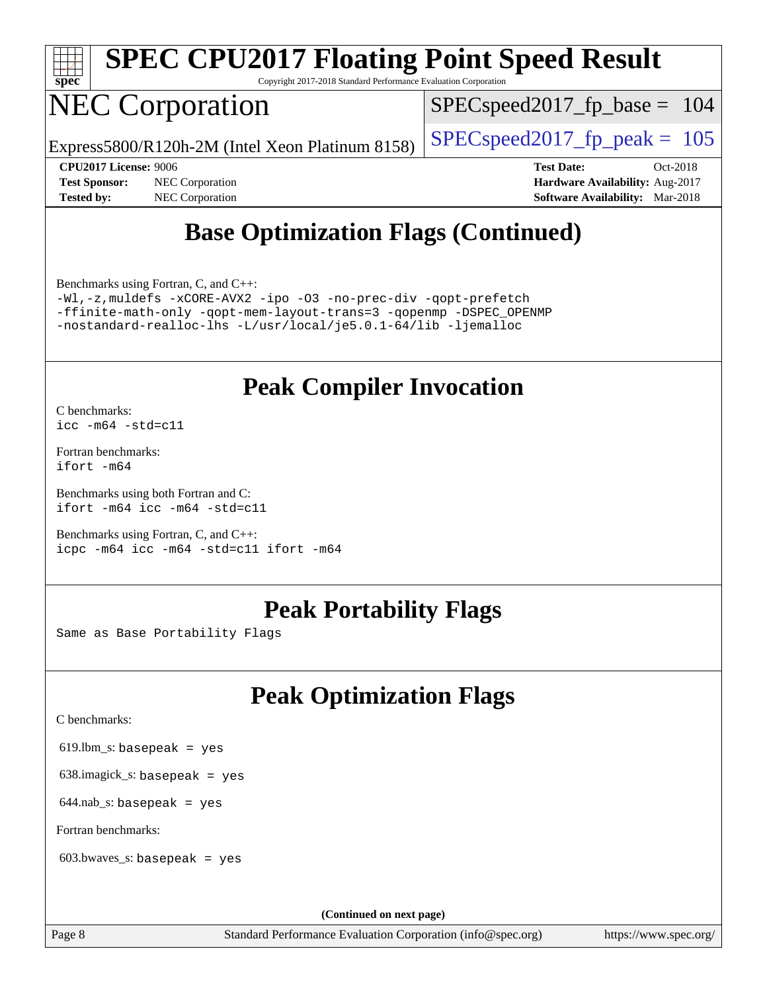

Copyright 2017-2018 Standard Performance Evaluation Corporation

## NEC Corporation

SPECspeed2017 fp base =  $104$ 

Express5800/R120h-2M (Intel Xeon Platinum 8158) [SPECspeed2017\\_fp\\_peak =](http://www.spec.org/auto/cpu2017/Docs/result-fields.html#SPECspeed2017fppeak)  $105$ 

**[Tested by:](http://www.spec.org/auto/cpu2017/Docs/result-fields.html#Testedby)** NEC Corporation **[Software Availability:](http://www.spec.org/auto/cpu2017/Docs/result-fields.html#SoftwareAvailability)** Mar-2018

**[CPU2017 License:](http://www.spec.org/auto/cpu2017/Docs/result-fields.html#CPU2017License)** 9006 **[Test Date:](http://www.spec.org/auto/cpu2017/Docs/result-fields.html#TestDate)** Oct-2018 **[Test Sponsor:](http://www.spec.org/auto/cpu2017/Docs/result-fields.html#TestSponsor)** NEC Corporation **[Hardware Availability:](http://www.spec.org/auto/cpu2017/Docs/result-fields.html#HardwareAvailability)** Aug-2017

### **[Base Optimization Flags \(Continued\)](http://www.spec.org/auto/cpu2017/Docs/result-fields.html#BaseOptimizationFlags)**

[Benchmarks using Fortran, C, and C++:](http://www.spec.org/auto/cpu2017/Docs/result-fields.html#BenchmarksusingFortranCandCXX)

[-Wl,-z,muldefs](http://www.spec.org/cpu2017/results/res2018q4/cpu2017-20181015-09184.flags.html#user_CC_CXX_FCbase_link_force_multiple1_b4cbdb97b34bdee9ceefcfe54f4c8ea74255f0b02a4b23e853cdb0e18eb4525ac79b5a88067c842dd0ee6996c24547a27a4b99331201badda8798ef8a743f577) [-xCORE-AVX2](http://www.spec.org/cpu2017/results/res2018q4/cpu2017-20181015-09184.flags.html#user_CC_CXX_FCbase_f-xCORE-AVX2) [-ipo](http://www.spec.org/cpu2017/results/res2018q4/cpu2017-20181015-09184.flags.html#user_CC_CXX_FCbase_f-ipo) [-O3](http://www.spec.org/cpu2017/results/res2018q4/cpu2017-20181015-09184.flags.html#user_CC_CXX_FCbase_f-O3) [-no-prec-div](http://www.spec.org/cpu2017/results/res2018q4/cpu2017-20181015-09184.flags.html#user_CC_CXX_FCbase_f-no-prec-div) [-qopt-prefetch](http://www.spec.org/cpu2017/results/res2018q4/cpu2017-20181015-09184.flags.html#user_CC_CXX_FCbase_f-qopt-prefetch) [-ffinite-math-only](http://www.spec.org/cpu2017/results/res2018q4/cpu2017-20181015-09184.flags.html#user_CC_CXX_FCbase_f_finite_math_only_cb91587bd2077682c4b38af759c288ed7c732db004271a9512da14a4f8007909a5f1427ecbf1a0fb78ff2a814402c6114ac565ca162485bbcae155b5e4258871) [-qopt-mem-layout-trans=3](http://www.spec.org/cpu2017/results/res2018q4/cpu2017-20181015-09184.flags.html#user_CC_CXX_FCbase_f-qopt-mem-layout-trans_de80db37974c74b1f0e20d883f0b675c88c3b01e9d123adea9b28688d64333345fb62bc4a798493513fdb68f60282f9a726aa07f478b2f7113531aecce732043) [-qopenmp](http://www.spec.org/cpu2017/results/res2018q4/cpu2017-20181015-09184.flags.html#user_CC_CXX_FCbase_qopenmp_16be0c44f24f464004c6784a7acb94aca937f053568ce72f94b139a11c7c168634a55f6653758ddd83bcf7b8463e8028bb0b48b77bcddc6b78d5d95bb1df2967) [-DSPEC\\_OPENMP](http://www.spec.org/cpu2017/results/res2018q4/cpu2017-20181015-09184.flags.html#suite_CC_CXX_FCbase_DSPEC_OPENMP) [-nostandard-realloc-lhs](http://www.spec.org/cpu2017/results/res2018q4/cpu2017-20181015-09184.flags.html#user_CC_CXX_FCbase_f_2003_std_realloc_82b4557e90729c0f113870c07e44d33d6f5a304b4f63d4c15d2d0f1fab99f5daaed73bdb9275d9ae411527f28b936061aa8b9c8f2d63842963b95c9dd6426b8a) [-L/usr/local/je5.0.1-64/lib](http://www.spec.org/cpu2017/results/res2018q4/cpu2017-20181015-09184.flags.html#user_CC_CXX_FCbase_jemalloc_link_path64_4b10a636b7bce113509b17f3bd0d6226c5fb2346b9178c2d0232c14f04ab830f976640479e5c33dc2bcbbdad86ecfb6634cbbd4418746f06f368b512fced5394) [-ljemalloc](http://www.spec.org/cpu2017/results/res2018q4/cpu2017-20181015-09184.flags.html#user_CC_CXX_FCbase_jemalloc_link_lib_d1249b907c500fa1c0672f44f562e3d0f79738ae9e3c4a9c376d49f265a04b9c99b167ecedbf6711b3085be911c67ff61f150a17b3472be731631ba4d0471706)

### **[Peak Compiler Invocation](http://www.spec.org/auto/cpu2017/Docs/result-fields.html#PeakCompilerInvocation)**

[C benchmarks](http://www.spec.org/auto/cpu2017/Docs/result-fields.html#Cbenchmarks): [icc -m64 -std=c11](http://www.spec.org/cpu2017/results/res2018q4/cpu2017-20181015-09184.flags.html#user_CCpeak_intel_icc_64bit_c11_33ee0cdaae7deeeab2a9725423ba97205ce30f63b9926c2519791662299b76a0318f32ddfffdc46587804de3178b4f9328c46fa7c2b0cd779d7a61945c91cd35)

[Fortran benchmarks](http://www.spec.org/auto/cpu2017/Docs/result-fields.html#Fortranbenchmarks): [ifort -m64](http://www.spec.org/cpu2017/results/res2018q4/cpu2017-20181015-09184.flags.html#user_FCpeak_intel_ifort_64bit_24f2bb282fbaeffd6157abe4f878425411749daecae9a33200eee2bee2fe76f3b89351d69a8130dd5949958ce389cf37ff59a95e7a40d588e8d3a57e0c3fd751)

[Benchmarks using both Fortran and C](http://www.spec.org/auto/cpu2017/Docs/result-fields.html#BenchmarksusingbothFortranandC): [ifort -m64](http://www.spec.org/cpu2017/results/res2018q4/cpu2017-20181015-09184.flags.html#user_CC_FCpeak_intel_ifort_64bit_24f2bb282fbaeffd6157abe4f878425411749daecae9a33200eee2bee2fe76f3b89351d69a8130dd5949958ce389cf37ff59a95e7a40d588e8d3a57e0c3fd751) [icc -m64 -std=c11](http://www.spec.org/cpu2017/results/res2018q4/cpu2017-20181015-09184.flags.html#user_CC_FCpeak_intel_icc_64bit_c11_33ee0cdaae7deeeab2a9725423ba97205ce30f63b9926c2519791662299b76a0318f32ddfffdc46587804de3178b4f9328c46fa7c2b0cd779d7a61945c91cd35)

[Benchmarks using Fortran, C, and C++:](http://www.spec.org/auto/cpu2017/Docs/result-fields.html#BenchmarksusingFortranCandCXX) [icpc -m64](http://www.spec.org/cpu2017/results/res2018q4/cpu2017-20181015-09184.flags.html#user_CC_CXX_FCpeak_intel_icpc_64bit_4ecb2543ae3f1412ef961e0650ca070fec7b7afdcd6ed48761b84423119d1bf6bdf5cad15b44d48e7256388bc77273b966e5eb805aefd121eb22e9299b2ec9d9) [icc -m64 -std=c11](http://www.spec.org/cpu2017/results/res2018q4/cpu2017-20181015-09184.flags.html#user_CC_CXX_FCpeak_intel_icc_64bit_c11_33ee0cdaae7deeeab2a9725423ba97205ce30f63b9926c2519791662299b76a0318f32ddfffdc46587804de3178b4f9328c46fa7c2b0cd779d7a61945c91cd35) [ifort -m64](http://www.spec.org/cpu2017/results/res2018q4/cpu2017-20181015-09184.flags.html#user_CC_CXX_FCpeak_intel_ifort_64bit_24f2bb282fbaeffd6157abe4f878425411749daecae9a33200eee2bee2fe76f3b89351d69a8130dd5949958ce389cf37ff59a95e7a40d588e8d3a57e0c3fd751)

### **[Peak Portability Flags](http://www.spec.org/auto/cpu2017/Docs/result-fields.html#PeakPortabilityFlags)**

Same as Base Portability Flags

## **[Peak Optimization Flags](http://www.spec.org/auto/cpu2017/Docs/result-fields.html#PeakOptimizationFlags)**

[C benchmarks](http://www.spec.org/auto/cpu2017/Docs/result-fields.html#Cbenchmarks):

619.lbm\_s: basepeak = yes

638.imagick\_s: basepeak = yes

 $644$ .nab\_s: basepeak = yes

[Fortran benchmarks](http://www.spec.org/auto/cpu2017/Docs/result-fields.html#Fortranbenchmarks):

603.bwaves\_s: basepeak = yes

**(Continued on next page)**

Page 8 Standard Performance Evaluation Corporation [\(info@spec.org\)](mailto:info@spec.org) <https://www.spec.org/>